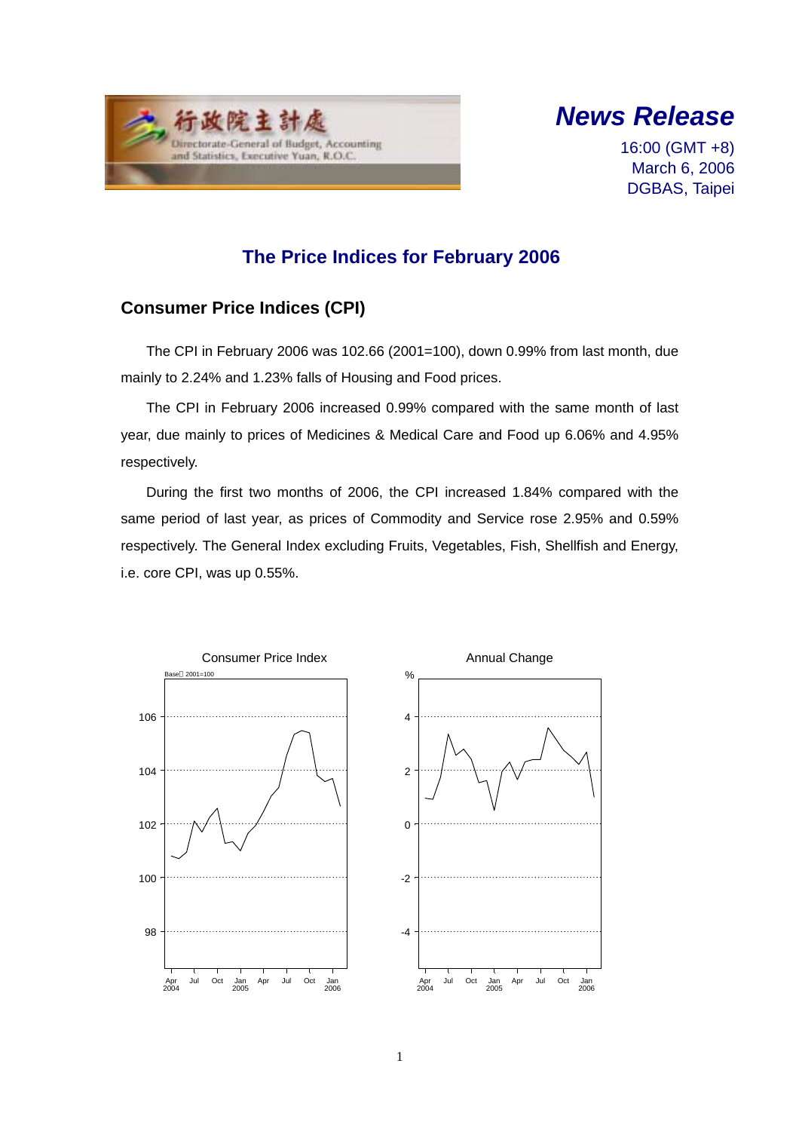



16:00 (GMT +8) March 6, 2006 DGBAS, Taipei

## **The Price Indices for February 2006**

### **Consumer Price Indices (CPI)**

The CPI in February 2006 was 102.66 (2001=100), down 0.99% from last month, due mainly to 2.24% and 1.23% falls of Housing and Food prices.

The CPI in February 2006 increased 0.99% compared with the same month of last year, due mainly to prices of Medicines & Medical Care and Food up 6.06% and 4.95% respectively.

During the first two months of 2006, the CPI increased 1.84% compared with the same period of last year, as prices of Commodity and Service rose 2.95% and 0.59% respectively. The General Index excluding Fruits, Vegetables, Fish, Shellfish and Energy, i.e. core CPI, was up 0.55%.



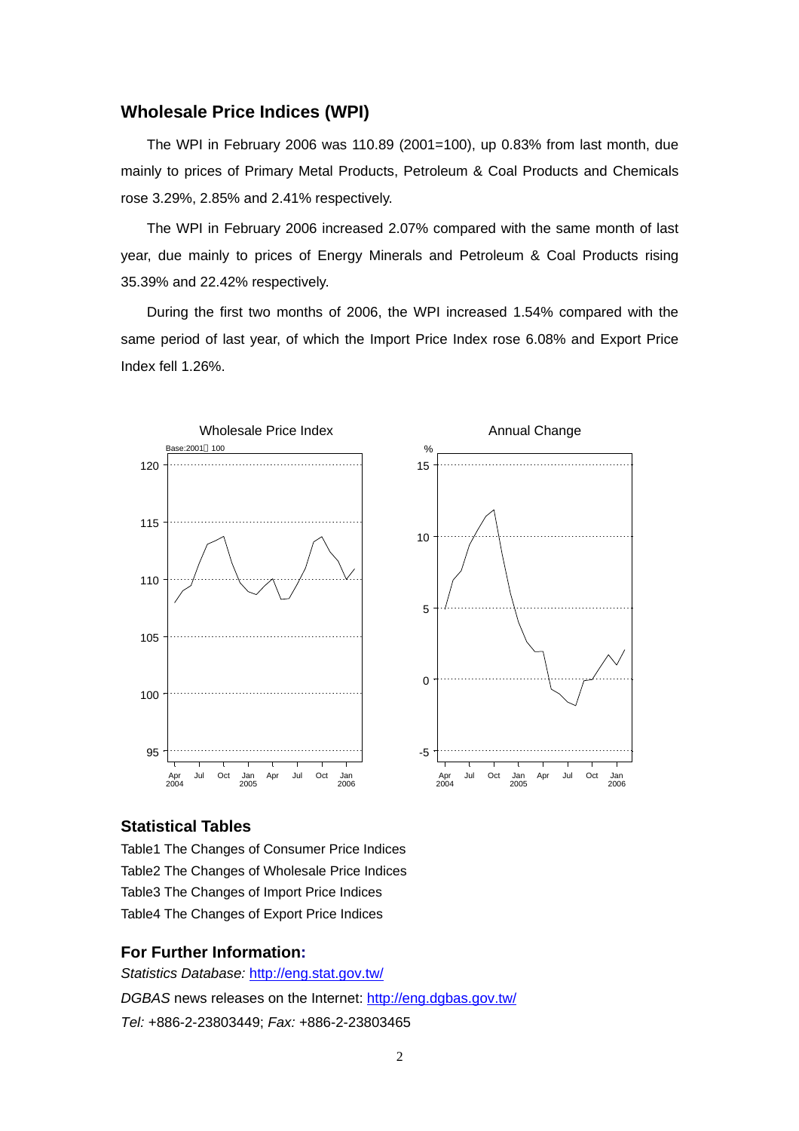#### **Wholesale Price Indices (WPI)**

The WPI in February 2006 was 110.89 (2001=100), up 0.83% from last month, due mainly to prices of Primary Metal Products, Petroleum & Coal Products and Chemicals rose 3.29%, 2.85% and 2.41% respectively.

The WPI in February 2006 increased 2.07% compared with the same month of last year, due mainly to prices of Energy Minerals and Petroleum & Coal Products rising 35.39% and 22.42% respectively.

During the first two months of 2006, the WPI increased 1.54% compared with the same period of last year, of which the Import Price Index rose 6.08% and Export Price Index fell 1.26%.



#### **Statistical Tables**

Table1 The Changes of Consumer Price Indices Table2 The Changes of Wholesale Price Indices Table3 The Changes of Import Price Indices Table4 The Changes of Export Price Indices

#### **For Further Information:**

*Statistics Database:* http://eng.stat.gov.tw/ *DGBAS* news releases on the Internet: http://eng.dgbas.gov.tw/ *Tel:* +886-2-23803449; *Fax:* +886-2-23803465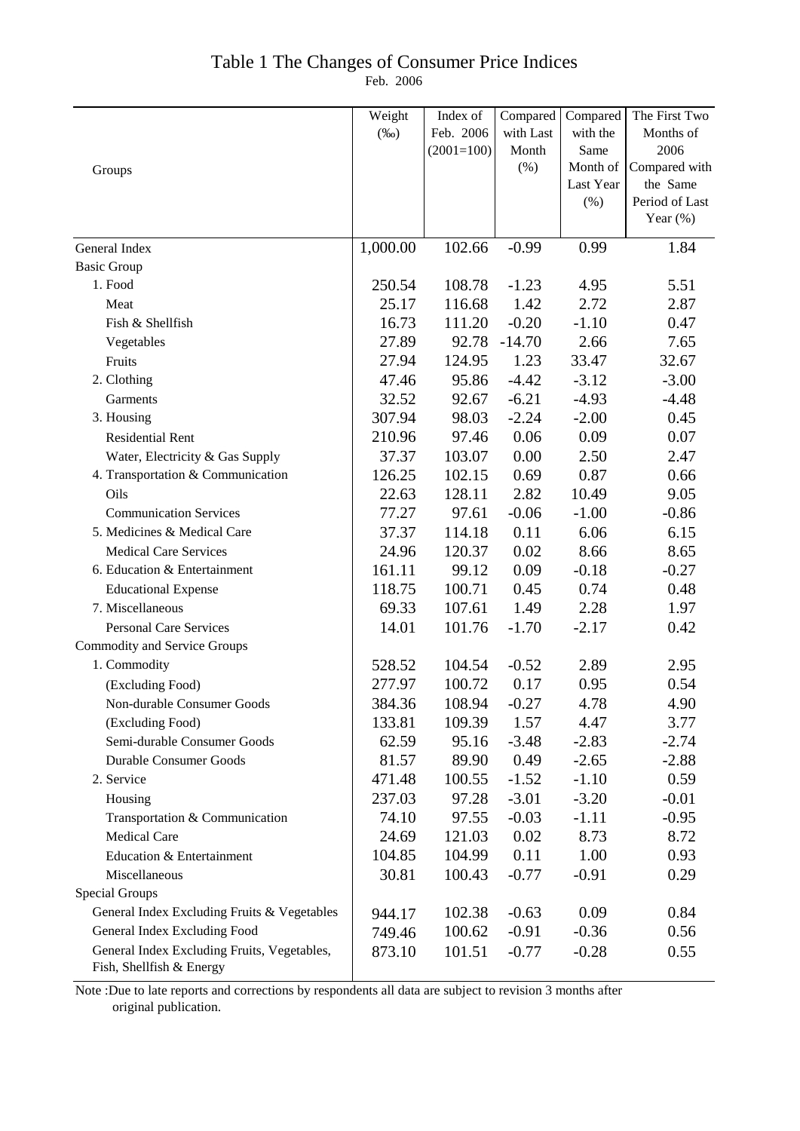## Table 1 The Changes of Consumer Price Indices

Feb. 2006

|                                                                         | Weight   | Index of     | Compared  | Compared  | The First Two  |
|-------------------------------------------------------------------------|----------|--------------|-----------|-----------|----------------|
|                                                                         | $(\%0)$  | Feb. 2006    | with Last | with the  | Months of      |
|                                                                         |          | $(2001=100)$ | Month     | Same      | 2006           |
| Groups                                                                  |          |              | $(\% )$   | Month of  | Compared with  |
|                                                                         |          |              |           | Last Year | the Same       |
|                                                                         |          |              |           | (%)       | Period of Last |
|                                                                         |          |              |           |           | Year $(\%)$    |
| General Index                                                           | 1,000.00 | 102.66       | $-0.99$   | 0.99      | 1.84           |
| <b>Basic Group</b>                                                      |          |              |           |           |                |
| 1. Food                                                                 | 250.54   | 108.78       | $-1.23$   | 4.95      | 5.51           |
| Meat                                                                    | 25.17    | 116.68       | 1.42      | 2.72      | 2.87           |
| Fish & Shellfish                                                        | 16.73    | 111.20       | $-0.20$   | $-1.10$   | 0.47           |
| Vegetables                                                              | 27.89    | 92.78        | $-14.70$  | 2.66      | 7.65           |
| Fruits                                                                  | 27.94    | 124.95       | 1.23      | 33.47     | 32.67          |
| 2. Clothing                                                             | 47.46    | 95.86        | $-4.42$   | $-3.12$   | $-3.00$        |
| Garments                                                                | 32.52    | 92.67        | $-6.21$   | $-4.93$   | $-4.48$        |
| 3. Housing                                                              | 307.94   | 98.03        | $-2.24$   | $-2.00$   | 0.45           |
| <b>Residential Rent</b>                                                 | 210.96   | 97.46        | 0.06      | 0.09      | 0.07           |
| Water, Electricity & Gas Supply                                         | 37.37    | 103.07       | 0.00      | 2.50      | 2.47           |
| 4. Transportation & Communication                                       | 126.25   | 102.15       | 0.69      | 0.87      | 0.66           |
| Oils                                                                    | 22.63    | 128.11       | 2.82      | 10.49     | 9.05           |
| <b>Communication Services</b>                                           | 77.27    | 97.61        | $-0.06$   | $-1.00$   | $-0.86$        |
| 5. Medicines & Medical Care                                             | 37.37    | 114.18       | 0.11      | 6.06      | 6.15           |
| <b>Medical Care Services</b>                                            | 24.96    | 120.37       | 0.02      | 8.66      | 8.65           |
| 6. Education & Entertainment                                            | 161.11   | 99.12        | 0.09      | $-0.18$   | $-0.27$        |
| <b>Educational Expense</b>                                              | 118.75   | 100.71       | 0.45      | 0.74      | 0.48           |
| 7. Miscellaneous                                                        | 69.33    | 107.61       | 1.49      | 2.28      | 1.97           |
| <b>Personal Care Services</b>                                           | 14.01    | 101.76       | $-1.70$   | $-2.17$   | 0.42           |
| <b>Commodity and Service Groups</b>                                     |          |              |           |           |                |
| 1. Commodity                                                            | 528.52   | 104.54       | $-0.52$   | 2.89      | 2.95           |
| (Excluding Food)                                                        | 277.97   | 100.72       | 0.17      | 0.95      | 0.54           |
| Non-durable Consumer Goods                                              | 384.36   | 108.94       | $-0.27$   | 4.78      | 4.90           |
| (Excluding Food)                                                        | 133.81   | 109.39       | 1.57      | 4.47      | 3.77           |
| Semi-durable Consumer Goods                                             | 62.59    | 95.16        | $-3.48$   | $-2.83$   | $-2.74$        |
| <b>Durable Consumer Goods</b>                                           | 81.57    | 89.90        | 0.49      | $-2.65$   | $-2.88$        |
| 2. Service                                                              | 471.48   | 100.55       | $-1.52$   | $-1.10$   | 0.59           |
| Housing                                                                 | 237.03   | 97.28        | $-3.01$   | $-3.20$   | $-0.01$        |
| Transportation & Communication                                          | 74.10    | 97.55        | $-0.03$   | $-1.11$   | $-0.95$        |
| <b>Medical Care</b>                                                     | 24.69    | 121.03       | 0.02      | 8.73      | 8.72           |
| Education & Entertainment                                               | 104.85   | 104.99       | 0.11      | 1.00      | 0.93           |
| Miscellaneous                                                           | 30.81    | 100.43       | $-0.77$   | $-0.91$   | 0.29           |
| <b>Special Groups</b>                                                   |          |              |           |           |                |
| General Index Excluding Fruits & Vegetables                             | 944.17   | 102.38       | $-0.63$   | 0.09      | 0.84           |
| General Index Excluding Food                                            | 749.46   | 100.62       | $-0.91$   | $-0.36$   | 0.56           |
| General Index Excluding Fruits, Vegetables,<br>Fish, Shellfish & Energy | 873.10   | 101.51       | $-0.77$   | $-0.28$   | 0.55           |

Note :Due to late reports and corrections by respondents all data are subject to revision 3 months after original publication.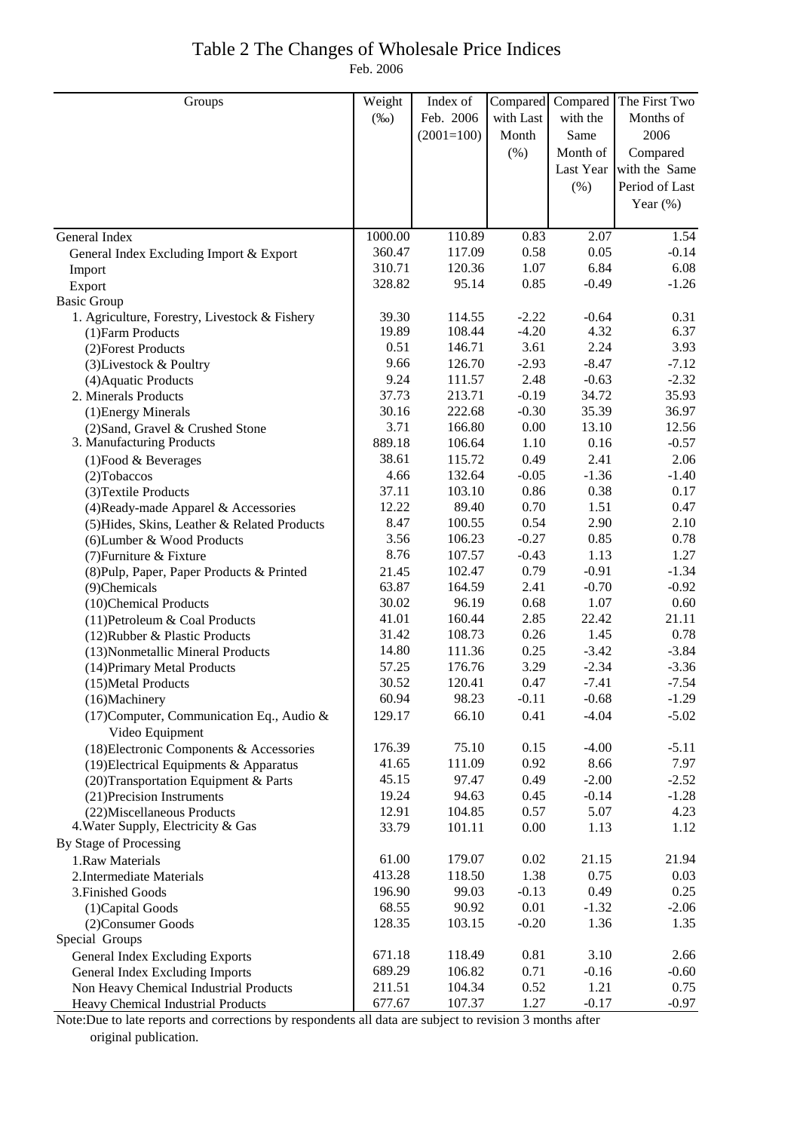### Table 2 The Changes of Wholesale Price Indices Feb. 2006

| Groups                                                       | Weight  | Index of     | Compared  |          | Compared The First Two  |
|--------------------------------------------------------------|---------|--------------|-----------|----------|-------------------------|
|                                                              | $(\%0)$ | Feb. 2006    | with Last | with the | Months of               |
|                                                              |         | $(2001=100)$ | Month     | Same     | 2006                    |
|                                                              |         |              | (% )      | Month of | Compared                |
|                                                              |         |              |           |          | Last Year with the Same |
|                                                              |         |              |           |          | Period of Last          |
|                                                              |         |              |           | (%)      |                         |
|                                                              |         |              |           |          | Year $(\%)$             |
| General Index                                                | 1000.00 | 110.89       | 0.83      | 2.07     | 1.54                    |
| General Index Excluding Import & Export                      | 360.47  | 117.09       | 0.58      | 0.05     | $-0.14$                 |
| Import                                                       | 310.71  | 120.36       | 1.07      | 6.84     | 6.08                    |
| Export                                                       | 328.82  | 95.14        | 0.85      | $-0.49$  | $-1.26$                 |
| <b>Basic Group</b>                                           |         |              |           |          |                         |
| 1. Agriculture, Forestry, Livestock & Fishery                | 39.30   | 114.55       | $-2.22$   | $-0.64$  | 0.31                    |
| (1) Farm Products                                            | 19.89   | 108.44       | $-4.20$   | 4.32     | 6.37                    |
| (2) Forest Products                                          | 0.51    | 146.71       | 3.61      | 2.24     | 3.93                    |
| (3) Livestock & Poultry                                      | 9.66    | 126.70       | $-2.93$   | $-8.47$  | $-7.12$                 |
| (4) Aquatic Products                                         | 9.24    | 111.57       | 2.48      | $-0.63$  | $-2.32$                 |
| 2. Minerals Products                                         | 37.73   | 213.71       | $-0.19$   | 34.72    | 35.93                   |
| (1) Energy Minerals                                          | 30.16   | 222.68       | $-0.30$   | 35.39    | 36.97                   |
| (2) Sand, Gravel & Crushed Stone                             | 3.71    | 166.80       | 0.00      | 13.10    | 12.56                   |
| 3. Manufacturing Products                                    | 889.18  | 106.64       | 1.10      | 0.16     | $-0.57$                 |
| $(1)$ Food & Beverages                                       | 38.61   | 115.72       | 0.49      | 2.41     | 2.06                    |
| (2) Tobaccos                                                 | 4.66    | 132.64       | $-0.05$   | $-1.36$  | $-1.40$                 |
| (3) Textile Products                                         | 37.11   | 103.10       | 0.86      | 0.38     | 0.17                    |
| (4) Ready-made Apparel & Accessories                         | 12.22   | 89.40        | 0.70      | 1.51     | 0.47                    |
| (5) Hides, Skins, Leather & Related Products                 | 8.47    | 100.55       | 0.54      | 2.90     | 2.10                    |
| (6) Lumber & Wood Products                                   | 3.56    | 106.23       | $-0.27$   | 0.85     | 0.78                    |
| (7) Furniture & Fixture                                      | 8.76    | 107.57       | $-0.43$   | 1.13     | 1.27                    |
| (8) Pulp, Paper, Paper Products & Printed                    | 21.45   | 102.47       | 0.79      | $-0.91$  | $-1.34$                 |
| (9)Chemicals                                                 | 63.87   | 164.59       | 2.41      | $-0.70$  | $-0.92$                 |
| (10)Chemical Products                                        | 30.02   | 96.19        | 0.68      | 1.07     | 0.60                    |
| (11) Petroleum & Coal Products                               | 41.01   | 160.44       | 2.85      | 22.42    | 21.11                   |
| (12) Rubber & Plastic Products                               | 31.42   | 108.73       | 0.26      | 1.45     | 0.78                    |
| (13) Nonmetallic Mineral Products                            | 14.80   | 111.36       | 0.25      | $-3.42$  | $-3.84$                 |
| (14) Primary Metal Products                                  | 57.25   | 176.76       | 3.29      | $-2.34$  | $-3.36$                 |
| (15) Metal Products                                          | 30.52   | 120.41       | 0.47      | $-7.41$  | $-7.54$                 |
| (16)Machinery                                                | 60.94   | 98.23        | $-0.11$   | $-0.68$  | $-1.29$                 |
| (17) Computer, Communication Eq., Audio &<br>Video Equipment | 129.17  | 66.10        | 0.41      | $-4.04$  | $-5.02$                 |
| (18) Electronic Components & Accessories                     | 176.39  | 75.10        | 0.15      | $-4.00$  | $-5.11$                 |
| (19) Electrical Equipments & Apparatus                       | 41.65   | 111.09       | 0.92      | 8.66     | 7.97                    |
| (20) Transportation Equipment & Parts                        | 45.15   | 97.47        | 0.49      | $-2.00$  | $-2.52$                 |
| (21) Precision Instruments                                   | 19.24   | 94.63        | 0.45      | $-0.14$  | $-1.28$                 |
| (22) Miscellaneous Products                                  | 12.91   | 104.85       | 0.57      | 5.07     | 4.23                    |
| 4. Water Supply, Electricity & Gas                           | 33.79   | 101.11       | 0.00      | 1.13     | 1.12                    |
| By Stage of Processing                                       |         |              |           |          |                         |
| 1.Raw Materials                                              | 61.00   | 179.07       | 0.02      | 21.15    | 21.94                   |
| 2. Intermediate Materials                                    | 413.28  | 118.50       | 1.38      | 0.75     | 0.03                    |
| 3. Finished Goods                                            | 196.90  | 99.03        | $-0.13$   | 0.49     | 0.25                    |
| (1) Capital Goods                                            | 68.55   | 90.92        | 0.01      | $-1.32$  | $-2.06$                 |
| (2) Consumer Goods                                           | 128.35  | 103.15       | $-0.20$   | 1.36     | 1.35                    |
| Special Groups                                               |         |              |           |          |                         |
| <b>General Index Excluding Exports</b>                       | 671.18  | 118.49       | 0.81      | 3.10     | 2.66                    |
| General Index Excluding Imports                              | 689.29  | 106.82       | 0.71      | $-0.16$  | $-0.60$                 |
| Non Heavy Chemical Industrial Products                       | 211.51  | 104.34       | 0.52      | 1.21     | 0.75                    |
| Heavy Chemical Industrial Products                           | 677.67  | 107.37       | 1.27      | $-0.17$  | $-0.97$                 |

Note:Due to late reports and corrections by respondents all data are subject to revision 3 months after original publication.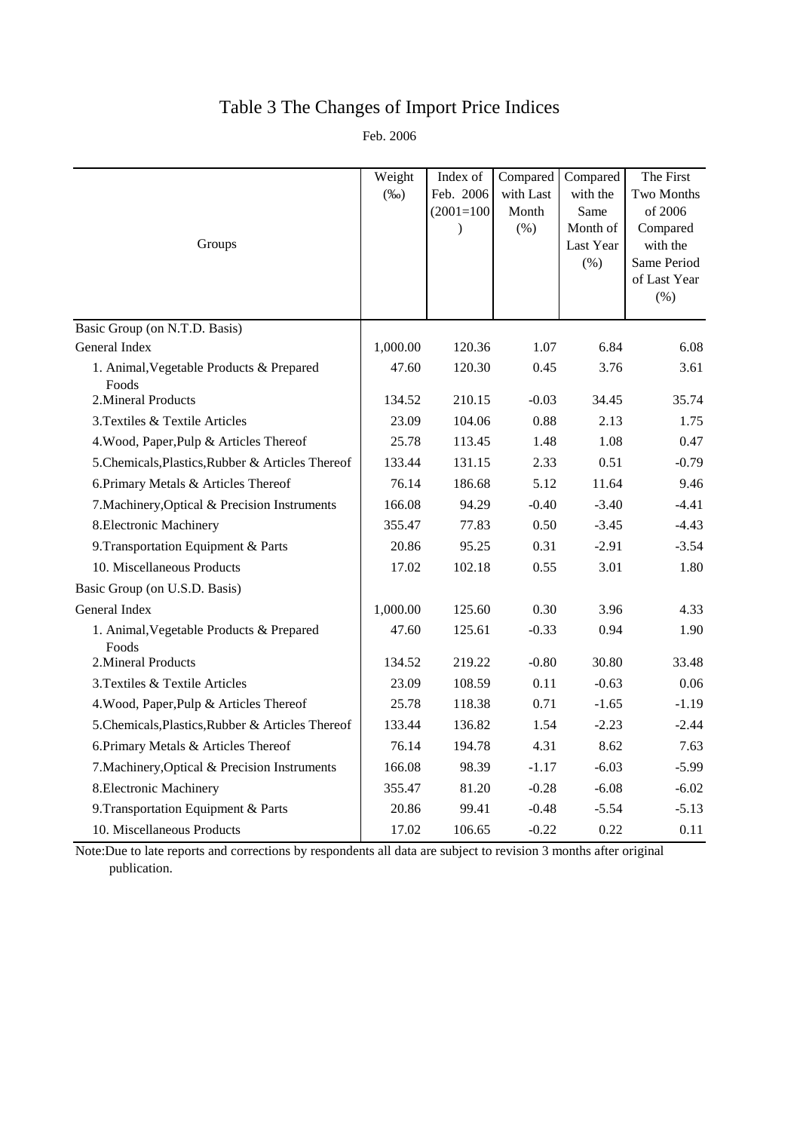# Table 3 The Changes of Import Price Indices

Feb. 2006

|                                                   | Weight   | Index of     | Compared  | Compared              | The First            |
|---------------------------------------------------|----------|--------------|-----------|-----------------------|----------------------|
|                                                   | $(\%0)$  | Feb. 2006    | with Last | with the              | Two Months           |
|                                                   |          | $(2001=100)$ | Month     | Same                  | of 2006              |
| Groups                                            |          | $\lambda$    | (% )      | Month of<br>Last Year | Compared<br>with the |
|                                                   |          |              |           | (% )                  | Same Period          |
|                                                   |          |              |           |                       | of Last Year         |
|                                                   |          |              |           |                       | (% )                 |
| Basic Group (on N.T.D. Basis)                     |          |              |           |                       |                      |
| General Index                                     | 1,000.00 | 120.36       | 1.07      | 6.84                  | 6.08                 |
| 1. Animal, Vegetable Products & Prepared<br>Foods | 47.60    | 120.30       | 0.45      | 3.76                  | 3.61                 |
| 2. Mineral Products                               | 134.52   | 210.15       | $-0.03$   | 34.45                 | 35.74                |
| 3. Textiles & Textile Articles                    | 23.09    | 104.06       | 0.88      | 2.13                  | 1.75                 |
| 4. Wood, Paper, Pulp & Articles Thereof           | 25.78    | 113.45       | 1.48      | 1.08                  | 0.47                 |
| 5. Chemicals, Plastics, Rubber & Articles Thereof | 133.44   | 131.15       | 2.33      | 0.51                  | $-0.79$              |
| 6. Primary Metals & Articles Thereof              | 76.14    | 186.68       | 5.12      | 11.64                 | 9.46                 |
| 7. Machinery, Optical & Precision Instruments     | 166.08   | 94.29        | $-0.40$   | $-3.40$               | $-4.41$              |
| 8. Electronic Machinery                           | 355.47   | 77.83        | 0.50      | $-3.45$               | $-4.43$              |
| 9. Transportation Equipment & Parts               | 20.86    | 95.25        | 0.31      | $-2.91$               | $-3.54$              |
| 10. Miscellaneous Products                        | 17.02    | 102.18       | 0.55      | 3.01                  | 1.80                 |
| Basic Group (on U.S.D. Basis)                     |          |              |           |                       |                      |
| General Index                                     | 1,000.00 | 125.60       | 0.30      | 3.96                  | 4.33                 |
| 1. Animal, Vegetable Products & Prepared<br>Foods | 47.60    | 125.61       | $-0.33$   | 0.94                  | 1.90                 |
| 2. Mineral Products                               | 134.52   | 219.22       | $-0.80$   | 30.80                 | 33.48                |
| 3. Textiles & Textile Articles                    | 23.09    | 108.59       | 0.11      | $-0.63$               | 0.06                 |
| 4. Wood, Paper, Pulp & Articles Thereof           | 25.78    | 118.38       | 0.71      | $-1.65$               | $-1.19$              |
| 5. Chemicals, Plastics, Rubber & Articles Thereof | 133.44   | 136.82       | 1.54      | $-2.23$               | $-2.44$              |
| 6. Primary Metals & Articles Thereof              | 76.14    | 194.78       | 4.31      | 8.62                  | 7.63                 |
| 7. Machinery, Optical & Precision Instruments     | 166.08   | 98.39        | $-1.17$   | $-6.03$               | $-5.99$              |
| 8. Electronic Machinery                           | 355.47   | 81.20        | $-0.28$   | $-6.08$               | $-6.02$              |
| 9. Transportation Equipment & Parts               | 20.86    | 99.41        | $-0.48$   | $-5.54$               | $-5.13$              |
| 10. Miscellaneous Products                        | 17.02    | 106.65       | $-0.22$   | 0.22                  | 0.11                 |

Note:Due to late reports and corrections by respondents all data are subject to revision 3 months after original publication.